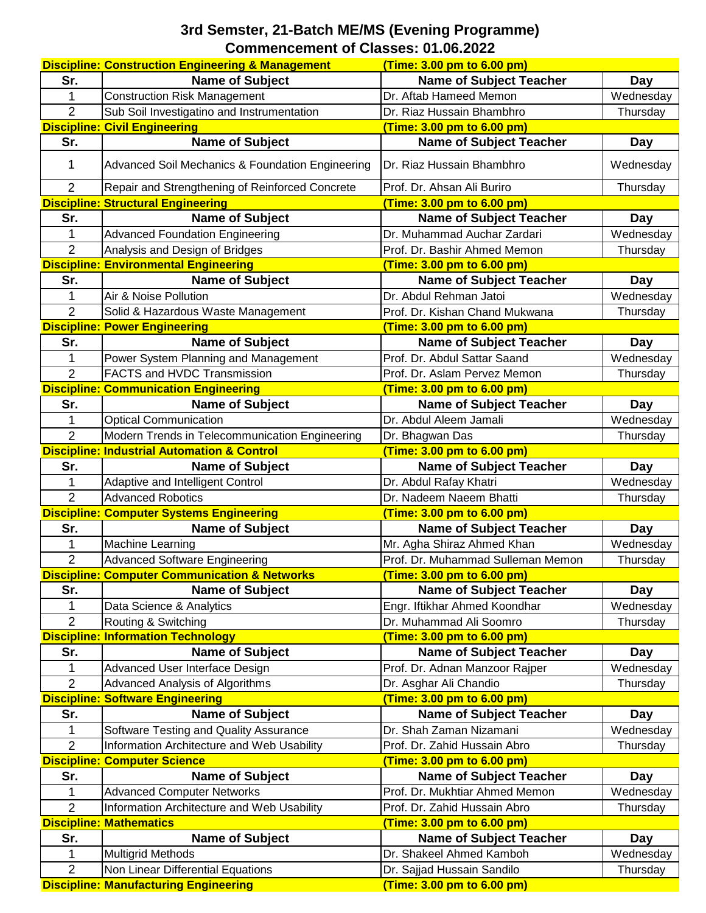## **3rd Semster, 21-Batch ME/MS (Evening Programme) Commencement of Classes: 01.06.2022**

|                | <b>Discipline: Construction Engineering &amp; Management</b> | (Time: 3.00 pm to 6.00 pm)        |            |
|----------------|--------------------------------------------------------------|-----------------------------------|------------|
| Sr.            | <b>Name of Subject</b>                                       | <b>Name of Subject Teacher</b>    | Day        |
| 1              | <b>Construction Risk Management</b>                          | Dr. Aftab Hameed Memon            | Wednesday  |
| $\overline{2}$ | Sub Soil Investigatino and Instrumentation                   | Dr. Riaz Hussain Bhambhro         | Thursday   |
|                | <b>Discipline: Civil Engineering</b>                         | (Time: 3.00 pm to 6.00 pm)        |            |
| Sr.            | <b>Name of Subject</b>                                       | <b>Name of Subject Teacher</b>    | Day        |
| 1              | Advanced Soil Mechanics & Foundation Engineering             | Dr. Riaz Hussain Bhambhro         | Wednesday  |
| $\overline{2}$ | Repair and Strengthening of Reinforced Concrete              | Prof. Dr. Ahsan Ali Buriro        | Thursday   |
|                | <b>Discipline: Structural Engineering</b>                    | (Time: 3.00 pm to 6.00 pm)        |            |
| Sr.            | <b>Name of Subject</b>                                       | <b>Name of Subject Teacher</b>    | Day        |
| 1              | <b>Advanced Foundation Engineering</b>                       | Dr. Muhammad Auchar Zardari       | Wednesday  |
| $\overline{2}$ | Analysis and Design of Bridges                               | Prof. Dr. Bashir Ahmed Memon      | Thursday   |
|                | <b>Discipline: Environmental Engineering</b>                 | (Time: 3.00 pm to 6.00 pm)        |            |
| Sr.            | <b>Name of Subject</b>                                       | <b>Name of Subject Teacher</b>    | <b>Day</b> |
| 1              | Air & Noise Pollution                                        | Dr. Abdul Rehman Jatoi            | Wednesday  |
| $\overline{2}$ | Solid & Hazardous Waste Management                           | Prof. Dr. Kishan Chand Mukwana    | Thursday   |
|                | <b>Discipline: Power Engineering</b>                         | (Time: 3.00 pm to 6.00 pm)        |            |
| Sr.            | <b>Name of Subject</b>                                       | <b>Name of Subject Teacher</b>    | <b>Day</b> |
| 1              | Power System Planning and Management                         | Prof. Dr. Abdul Sattar Saand      | Wednesday  |
| $\overline{2}$ | <b>FACTS and HVDC Transmission</b>                           | Prof. Dr. Aslam Pervez Memon      | Thursday   |
|                | <b>Discipline: Communication Engineering</b>                 | (Time: 3.00 pm to 6.00 pm)        |            |
| Sr.            | <b>Name of Subject</b>                                       | <b>Name of Subject Teacher</b>    | <b>Day</b> |
| 1              | <b>Optical Communication</b>                                 | Dr. Abdul Aleem Jamali            | Wednesday  |
| $\overline{2}$ | Modern Trends in Telecommunication Engineering               | Dr. Bhagwan Das                   | Thursday   |
|                | <b>Discipline: Industrial Automation &amp; Control</b>       | (Time: 3.00 pm to 6.00 pm)        |            |
| Sr.            | <b>Name of Subject</b>                                       | <b>Name of Subject Teacher</b>    | Day        |
| 1              | Adaptive and Intelligent Control                             | Dr. Abdul Rafay Khatri            | Wednesday  |
| $\overline{2}$ | <b>Advanced Robotics</b>                                     | Dr. Nadeem Naeem Bhatti           | Thursday   |
|                | <b>Discipline: Computer Systems Engineering</b>              | (Time: 3.00 pm to 6.00 pm)        |            |
| Sr.            | <b>Name of Subject</b>                                       | <b>Name of Subject Teacher</b>    | Day        |
| 1              | <b>Machine Learning</b>                                      | Mr. Agha Shiraz Ahmed Khan        | Wednesday  |
| $\overline{2}$ | Advanced Software Engineering                                | Prof. Dr. Muhammad Sulleman Memon | Thursday   |
|                | <b>Discipline: Computer Communication &amp; Networks</b>     | (Time: 3.00 pm to 6.00 pm)        |            |
| Sr.            | <b>Name of Subject</b>                                       | <b>Name of Subject Teacher</b>    | Day        |
| 1              | Data Science & Analytics                                     | Engr. Iftikhar Ahmed Koondhar     | Wednesday  |
| $\overline{2}$ | Routing & Switching                                          | Dr. Muhammad Ali Soomro           | Thursday   |
|                | <b>Discipline: Information Technology</b>                    | (Time: 3.00 pm to 6.00 pm)        |            |
| Sr.            | <b>Name of Subject</b>                                       | <b>Name of Subject Teacher</b>    | <b>Day</b> |
| 1              | Advanced User Interface Design                               | Prof. Dr. Adnan Manzoor Rajper    | Wednesday  |
| $\overline{2}$ | Advanced Analysis of Algorithms                              | Dr. Asghar Ali Chandio            | Thursday   |
|                | <b>Discipline: Software Engineering</b>                      | (Time: 3.00 pm to 6.00 pm)        |            |
| Sr.            | <b>Name of Subject</b>                                       | <b>Name of Subject Teacher</b>    | Day        |
| 1              | Software Testing and Quality Assurance                       | Dr. Shah Zaman Nizamani           | Wednesday  |
| 2              | Information Architecture and Web Usability                   | Prof. Dr. Zahid Hussain Abro      | Thursday   |
|                | <b>Discipline: Computer Science</b>                          | (Time: 3.00 pm to 6.00 pm)        |            |
| Sr.            | <b>Name of Subject</b>                                       | <b>Name of Subject Teacher</b>    | <b>Day</b> |
| 1              | <b>Advanced Computer Networks</b>                            | Prof. Dr. Mukhtiar Ahmed Memon    | Wednesday  |
| $\overline{2}$ | Information Architecture and Web Usability                   | Prof. Dr. Zahid Hussain Abro      | Thursday   |
|                | <b>Discipline: Mathematics</b>                               | (Time: 3.00 pm to 6.00 pm)        |            |
| Sr.            | <b>Name of Subject</b>                                       | <b>Name of Subject Teacher</b>    | <b>Day</b> |
| 1              | <b>Multigrid Methods</b>                                     | Dr. Shakeel Ahmed Kamboh          | Wednesday  |
| $\overline{2}$ | Non Linear Differential Equations                            | Dr. Sajjad Hussain Sandilo        | Thursday   |
|                | <b>Discipline: Manufacturing Engineering</b>                 | (Time: 3.00 pm to 6.00 pm)        |            |